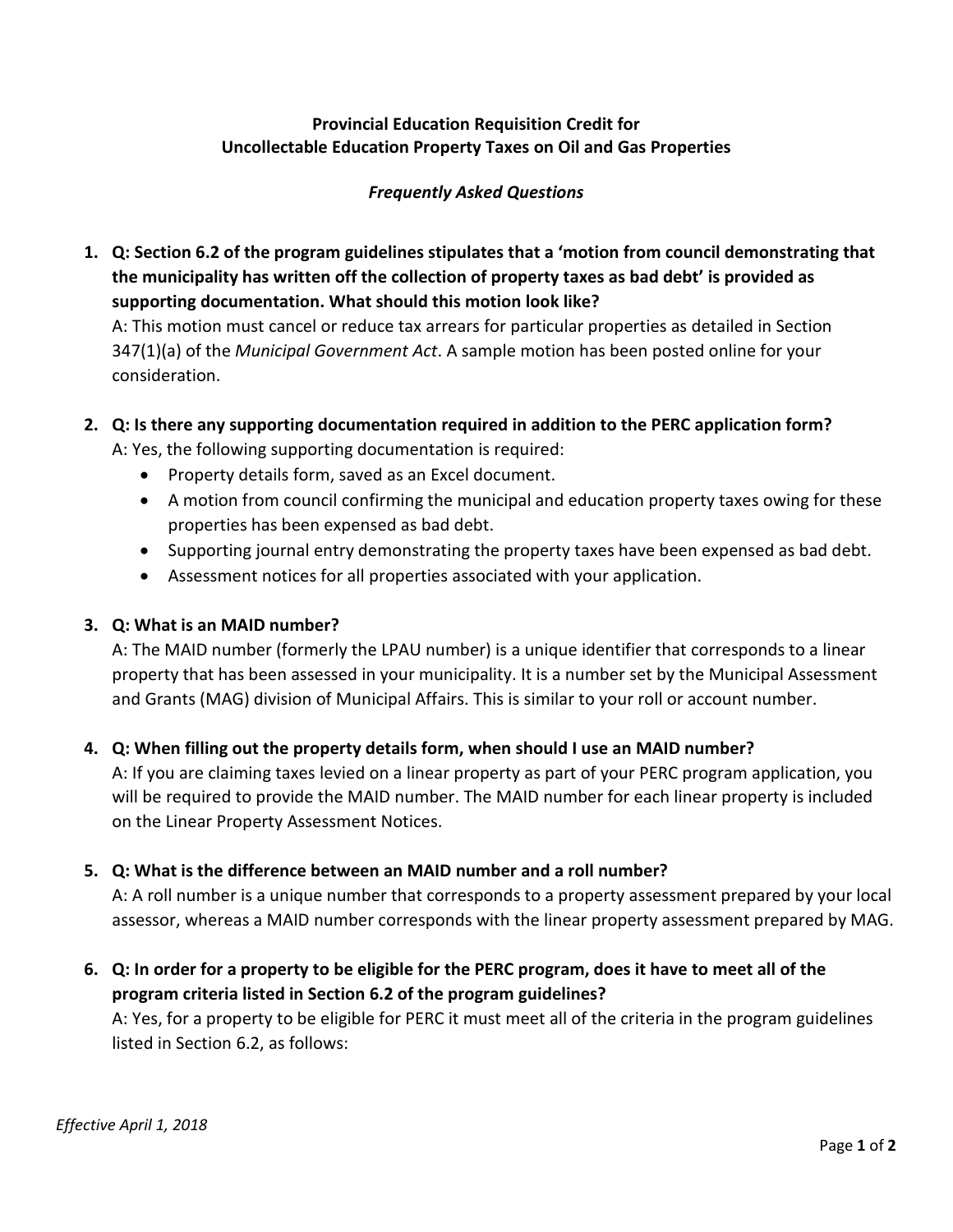## **Provincial Education Requisition Credit for Uncollectable Education Property Taxes on Oil and Gas Properties**

## *Frequently Asked Questions*

**1. Q: Section 6.2 of the program guidelines stipulates that a 'motion from council demonstrating that the municipality has written off the collection of property taxes as bad debt' is provided as supporting documentation. What should this motion look like?**

A: This motion must cancel or reduce tax arrears for particular properties as detailed in Section 347(1)(a) of the *Municipal Government Act*. A sample motion has been posted online for your consideration.

**2. Q: Is there any supporting documentation required in addition to the PERC application form?**

A: Yes, the following supporting documentation is required:

- Property details form, saved as an Excel document.
- A motion from council confirming the municipal and education property taxes owing for these properties has been expensed as bad debt.
- Supporting journal entry demonstrating the property taxes have been expensed as bad debt.
- Assessment notices for all properties associated with your application.

## **3. Q: What is an MAID number?**

A: The MAID number (formerly the LPAU number) is a unique identifier that corresponds to a linear property that has been assessed in your municipality. It is a number set by the Municipal Assessment and Grants (MAG) division of Municipal Affairs. This is similar to your roll or account number.

#### **4. Q: When filling out the property details form, when should I use an MAID number?**

A: If you are claiming taxes levied on a linear property as part of your PERC program application, you will be required to provide the MAID number. The MAID number for each linear property is included on the Linear Property Assessment Notices.

#### **5. Q: What is the difference between an MAID number and a roll number?**

A: A roll number is a unique number that corresponds to a property assessment prepared by your local assessor, whereas a MAID number corresponds with the linear property assessment prepared by MAG.

**6. Q: In order for a property to be eligible for the PERC program, does it have to meet all of the program criteria listed in Section 6.2 of the program guidelines?**

A: Yes, for a property to be eligible for PERC it must meet all of the criteria in the program guidelines listed in Section 6.2, as follows: